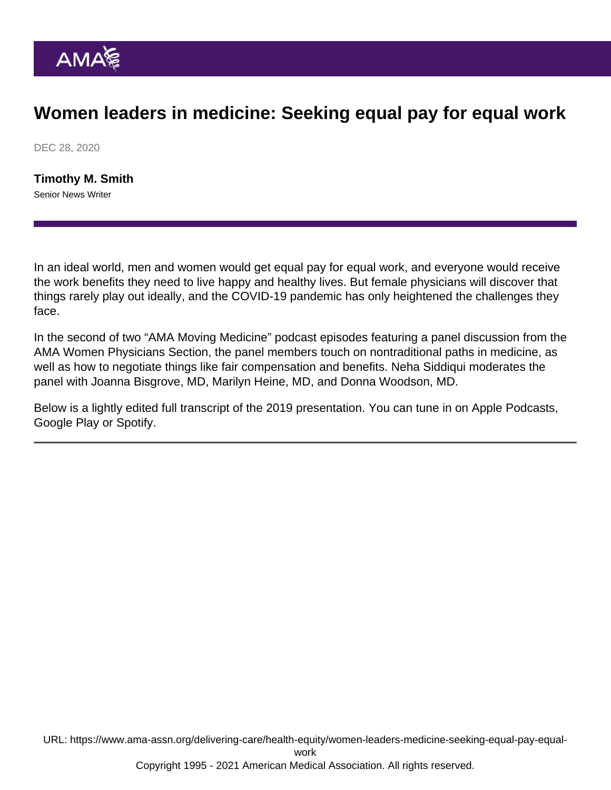## Women leaders in medicine: Seeking equal pay for equal work

DEC 28, 2020

[Timothy M. Smith](https://www.ama-assn.org/news-leadership-viewpoints/authors-news-leadership-viewpoints/timothy-m-smith) Senior News Writer

In an ideal world, men and women would get equal pay for equal work, and everyone would receive the work benefits they need to live happy and healthy lives. But female physicians will discover that things rarely play out ideally, and the COVID-19 pandemic [has only heightened the challenges they](https://www.ama-assn.org/practice-management/physician-diversity/ways-tackle-challenges-facing-women-physicians-pandemic) [face.](https://www.ama-assn.org/practice-management/physician-diversity/ways-tackle-challenges-facing-women-physicians-pandemic)

In the second of two "[AMA Moving Medicine](https://www.ama-assn.org/amaone/ama-podcasts)" podcast episodes featuring a panel discussion from the [AMA Women Physicians Section,](https://www.ama-assn.org/member-groups-sections/women-physicians) the panel members touch on nontraditional paths in medicine, as well as how to negotiate things like fair compensation and benefits. Neha Siddiqui moderates the panel with Joanna Bisgrove, MD, Marilyn Heine, MD, and Donna Woodson, MD.

Below is a lightly edited full transcript of the 2019 presentation. You can tune in on [Apple Podcasts](https://podcasts.apple.com/us/podcast/women-leaders-in-medicine-part-2/id1428853046?i=1000454572836), [Google Play](https://play.google.com/music/m/Dksv7owkii34fmucqos5d3tykii?t=Women_leaders_in_medicine_part_2-AMA_Moving_Medicine) or [Spotify](https://open.spotify.com/episode/3KviYfwjhj8Skx6y3lGvvB).

URL: [https://www.ama-assn.org/delivering-care/health-equity/women-leaders-medicine-seeking-equal-pay-equal](https://www.ama-assn.org/delivering-care/health-equity/women-leaders-medicine-seeking-equal-pay-equal-work)[work](https://www.ama-assn.org/delivering-care/health-equity/women-leaders-medicine-seeking-equal-pay-equal-work) Copyright 1995 - 2021 American Medical Association. All rights reserved.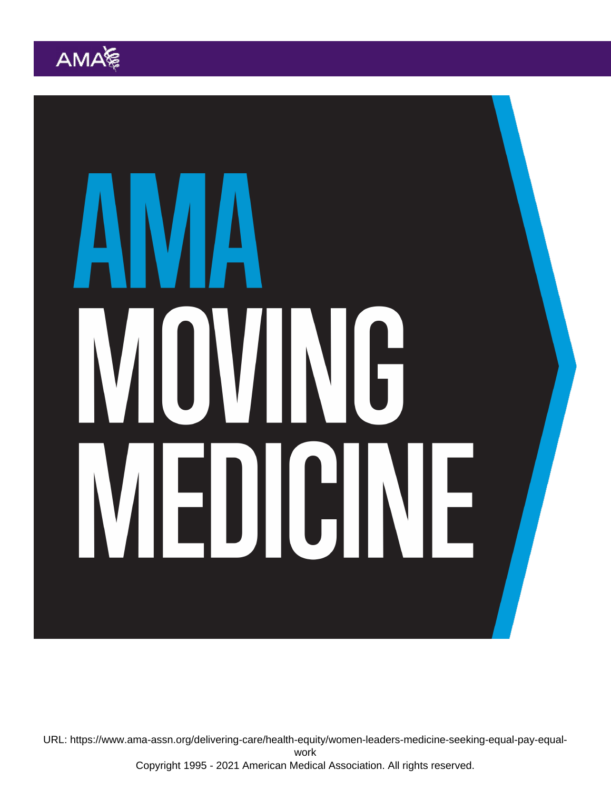URL: [https://www.ama-assn.org/delivering-care/health-equity/women-leaders-medicine-seeking-equal-pay-equal](https://www.ama-assn.org/delivering-care/health-equity/women-leaders-medicine-seeking-equal-pay-equal-work)[work](https://www.ama-assn.org/delivering-care/health-equity/women-leaders-medicine-seeking-equal-pay-equal-work)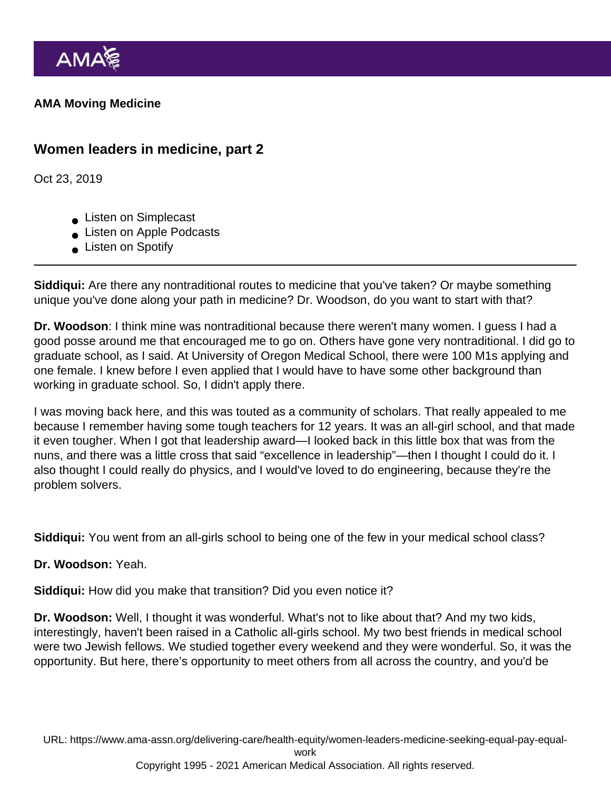AMA Moving Medicine

Women leaders in medicine, part 2

Oct 23, 2019

- **Listen on Simplecast**
- Listen on Apple Podcasts
- **Listen on Spotify**

Siddiqui: Are there any nontraditional routes to medicine that you've taken? Or maybe something unique you've done along your path in medicine? Dr. Woodson, do you want to start with that?

Dr. Woodson : I think mine was nontraditional because there weren't many women. I guess I had a good posse around me that encouraged me to go on. Others have gone very nontraditional. I did go to graduate school, as I said. At University of Oregon Medical School, there were 100 M1s applying and one female. I knew before I even applied that I would have to have some other background than working in graduate school. So, I didn't apply there.

I was moving back here, and this was touted as a community of scholars. That really appealed to me because I remember having some tough teachers for 12 years. It was an all-girl school, and that made it even tougher. When I got that leadership award—I looked back in this little box that was from the nuns, and there was a little cross that said "excellence in leadership"—then I thought I could do it. I also thought I could really do physics, and I would've loved to do engineering, because they're the problem solvers.

Siddiqui: You went from an all-girls school to being one of the few in your medical school class?

Dr. Woodson: Yeah.

Siddiqui: How did you make that transition? Did you even notice it?

Dr. Woodson: Well, I thought it was wonderful. What's not to like about that? And my two kids, interestingly, haven't been raised in a Catholic all-girls school. My two best friends in medical school were two Jewish fellows. We studied together every weekend and they were wonderful. So, it was the opportunity. But here, there's opportunity to meet others from all across the country, and you'd be

URL: [https://www.ama-assn.org/delivering-care/health-equity/women-leaders-medicine-seeking-equal-pay-equal](https://www.ama-assn.org/delivering-care/health-equity/women-leaders-medicine-seeking-equal-pay-equal-work)[work](https://www.ama-assn.org/delivering-care/health-equity/women-leaders-medicine-seeking-equal-pay-equal-work)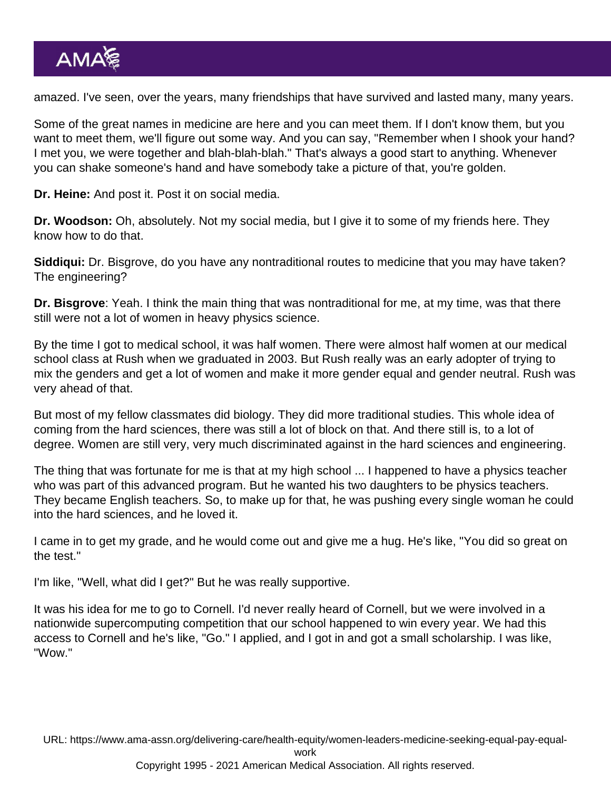amazed. I've seen, over the years, many friendships that have survived and lasted many, many years.

Some of the great names in medicine are here and you can meet them. If I don't know them, but you want to meet them, we'll figure out some way. And you can say, "Remember when I shook your hand? I met you, we were together and blah-blah-blah." That's always a good start to anything. Whenever you can shake someone's hand and have somebody take a picture of that, you're golden.

Dr. Heine: And post it. Post it on social media.

Dr. Woodson: Oh, absolutely. Not my social media, but I give it to some of my friends here. They know how to do that.

Siddiqui: Dr. Bisgrove, do you have any nontraditional routes to medicine that you may have taken? The engineering?

Dr. Bisgrove : Yeah. I think the main thing that was nontraditional for me, at my time, was that there still were not a lot of women in heavy physics science.

By the time I got to medical school, it was half women. There were almost half women at our medical school class at Rush when we graduated in 2003. But Rush really was an early adopter of trying to mix the genders and get a lot of women and make it more gender equal and gender neutral. Rush was very ahead of that.

But most of my fellow classmates did biology. They did more traditional studies. This whole idea of coming from the hard sciences, there was still a lot of block on that. And there still is, to a lot of degree. Women are still very, very much discriminated against in the hard sciences and engineering.

The thing that was fortunate for me is that at my high school ... I happened to have a physics teacher who was part of this advanced program. But he wanted his two daughters to be physics teachers. They became English teachers. So, to make up for that, he was pushing every single woman he could into the hard sciences, and he loved it.

I came in to get my grade, and he would come out and give me a hug. He's like, "You did so great on the test."

I'm like, "Well, what did I get?" But he was really supportive.

It was his idea for me to go to Cornell. I'd never really heard of Cornell, but we were involved in a nationwide supercomputing competition that our school happened to win every year. We had this access to Cornell and he's like, "Go." I applied, and I got in and got a small scholarship. I was like, "Wow."

URL: [https://www.ama-assn.org/delivering-care/health-equity/women-leaders-medicine-seeking-equal-pay-equal-](https://www.ama-assn.org/delivering-care/health-equity/women-leaders-medicine-seeking-equal-pay-equal-work)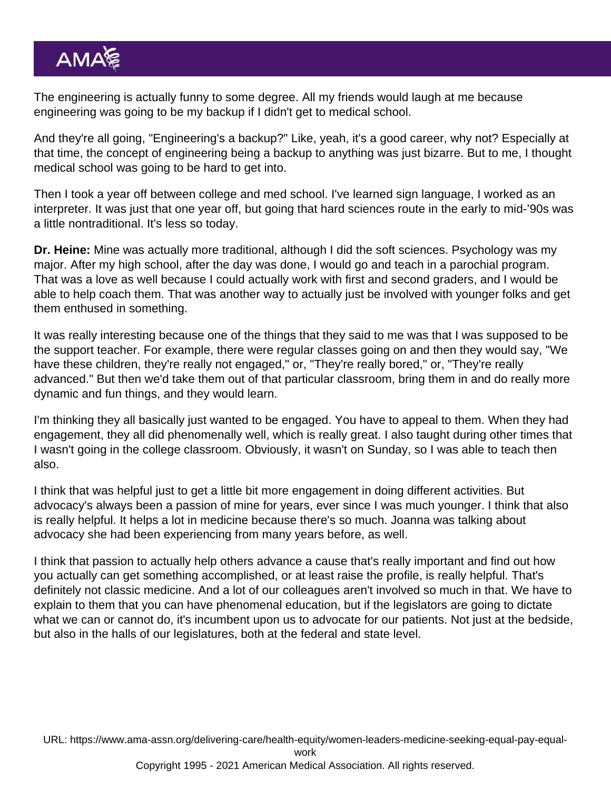The engineering is actually funny to some degree. All my friends would laugh at me because engineering was going to be my backup if I didn't get to medical school.

And they're all going, "Engineering's a backup?" Like, yeah, it's a good career, why not? Especially at that time, the concept of engineering being a backup to anything was just bizarre. But to me, I thought medical school was going to be hard to get into.

Then I took a year off between college and med school. I've learned sign language, I worked as an interpreter. It was just that one year off, but going that hard sciences route in the early to mid-'90s was a little nontraditional. It's less so today.

Dr. Heine: Mine was actually more traditional, although I did the soft sciences. Psychology was my major. After my high school, after the day was done, I would go and teach in a parochial program. That was a love as well because I could actually work with first and second graders, and I would be able to help coach them. That was another way to actually just be involved with younger folks and get them enthused in something.

It was really interesting because one of the things that they said to me was that I was supposed to be the support teacher. For example, there were regular classes going on and then they would say, "We have these children, they're really not engaged," or, "They're really bored," or, "They're really advanced." But then we'd take them out of that particular classroom, bring them in and do really more dynamic and fun things, and they would learn.

I'm thinking they all basically just wanted to be engaged. You have to appeal to them. When they had engagement, they all did phenomenally well, which is really great. I also taught during other times that I wasn't going in the college classroom. Obviously, it wasn't on Sunday, so I was able to teach then also.

I think that was helpful just to get a little bit more engagement in doing different activities. But advocacy's always been a passion of mine for years, ever since I was much younger. I think that also is really helpful. It helps a lot in medicine because there's so much. Joanna was talking about advocacy she had been experiencing from many years before, as well.

I think that passion to actually help others advance a cause that's really important and find out how you actually can get something accomplished, or at least raise the profile, is really helpful. That's definitely not classic medicine. And a lot of our colleagues aren't involved so much in that. We have to explain to them that you can have phenomenal education, but if the legislators are going to dictate what we can or cannot do, it's incumbent upon us to advocate for our patients. Not just at the bedside, but also in the halls of our legislatures, both at the federal and state level.

URL: [https://www.ama-assn.org/delivering-care/health-equity/women-leaders-medicine-seeking-equal-pay-equal-](https://www.ama-assn.org/delivering-care/health-equity/women-leaders-medicine-seeking-equal-pay-equal-work)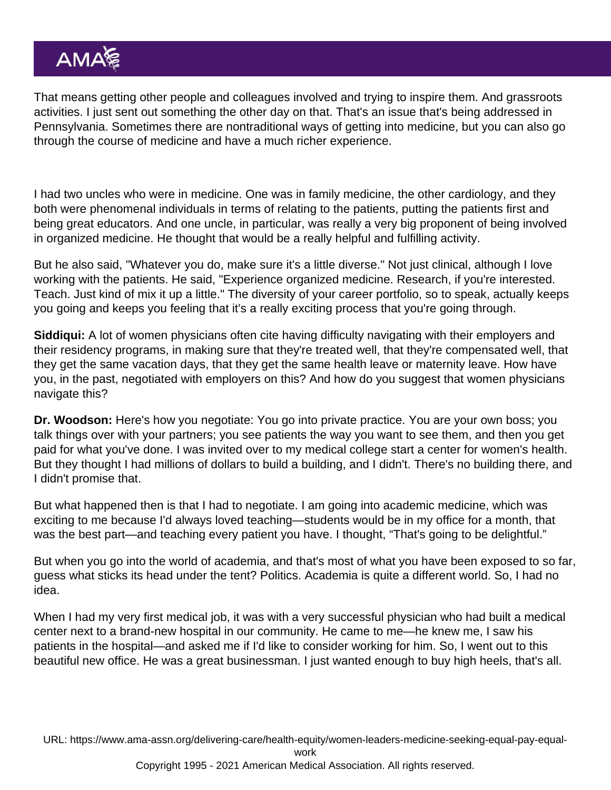That means getting other people and colleagues involved and trying to inspire them. And grassroots activities. I just sent out something the other day on that. That's an issue that's being addressed in Pennsylvania. Sometimes there are nontraditional ways of getting into medicine, but you can also go through the course of medicine and have a much richer experience.

I had two uncles who were in medicine. One was in family medicine, the other cardiology, and they both were phenomenal individuals in terms of relating to the patients, putting the patients first and being great educators. And one uncle, in particular, was really a very big proponent of being involved in organized medicine. He thought that would be a really helpful and fulfilling activity.

But he also said, "Whatever you do, make sure it's a little diverse." Not just clinical, although I love working with the patients. He said, "Experience organized medicine. Research, if you're interested. Teach. Just kind of mix it up a little." The diversity of your career portfolio, so to speak, actually keeps you going and keeps you feeling that it's a really exciting process that you're going through.

Siddiqui: A lot of women physicians often cite having difficulty navigating with their employers and their residency programs, in making sure that they're treated well, that they're compensated well, that they get the same vacation days, that they get the same health leave or maternity leave. How have you, in the past, negotiated with employers on this? And how do you suggest that women physicians navigate this?

Dr. Woodson: Here's how you negotiate: You go into private practice. You are your own boss; you talk things over with your partners; you see patients the way you want to see them, and then you get paid for what you've done. I was invited over to my medical college start a center for women's health. But they thought I had millions of dollars to build a building, and I didn't. There's no building there, and I didn't promise that.

But what happened then is that I had to negotiate. I am going into academic medicine, which was exciting to me because I'd always loved teaching—students would be in my office for a month, that was the best part—and teaching every patient you have. I thought, "That's going to be delightful."

But when you go into the world of academia, and that's most of what you have been exposed to so far, guess what sticks its head under the tent? Politics. Academia is quite a different world. So, I had no idea.

When I had my very first medical job, it was with a very successful physician who had built a medical center next to a brand-new hospital in our community. He came to me—he knew me, I saw his patients in the hospital—and asked me if I'd like to consider working for him. So, I went out to this beautiful new office. He was a great businessman. I just wanted enough to buy high heels, that's all.

URL: [https://www.ama-assn.org/delivering-care/health-equity/women-leaders-medicine-seeking-equal-pay-equal-](https://www.ama-assn.org/delivering-care/health-equity/women-leaders-medicine-seeking-equal-pay-equal-work)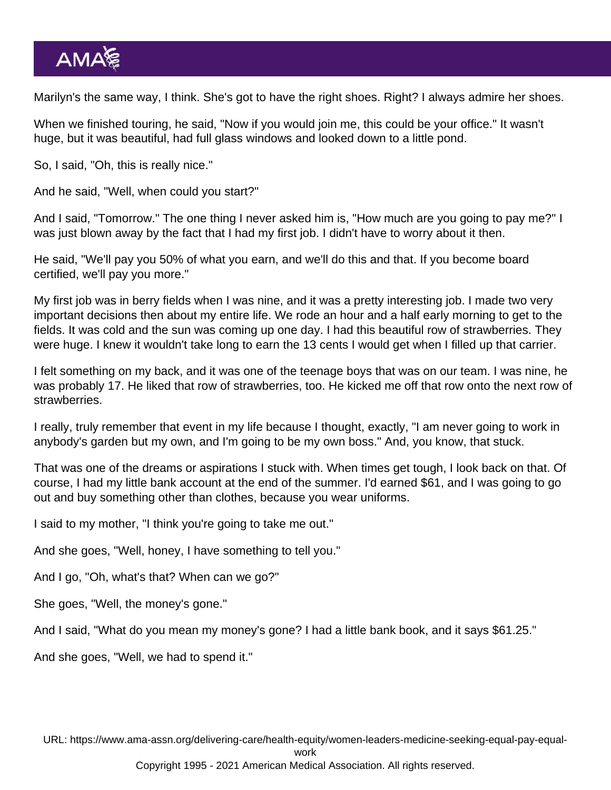Marilyn's the same way, I think. She's got to have the right shoes. Right? I always admire her shoes.

When we finished touring, he said, "Now if you would join me, this could be your office." It wasn't huge, but it was beautiful, had full glass windows and looked down to a little pond.

So, I said, "Oh, this is really nice."

And he said, "Well, when could you start?"

And I said, "Tomorrow." The one thing I never asked him is, "How much are you going to pay me?" I was just blown away by the fact that I had my first job. I didn't have to worry about it then.

He said, "We'll pay you 50% of what you earn, and we'll do this and that. If you become board certified, we'll pay you more."

My first job was in berry fields when I was nine, and it was a pretty interesting job. I made two very important decisions then about my entire life. We rode an hour and a half early morning to get to the fields. It was cold and the sun was coming up one day. I had this beautiful row of strawberries. They were huge. I knew it wouldn't take long to earn the 13 cents I would get when I filled up that carrier.

I felt something on my back, and it was one of the teenage boys that was on our team. I was nine, he was probably 17. He liked that row of strawberries, too. He kicked me off that row onto the next row of strawberries.

I really, truly remember that event in my life because I thought, exactly, "I am never going to work in anybody's garden but my own, and I'm going to be my own boss." And, you know, that stuck.

That was one of the dreams or aspirations I stuck with. When times get tough, I look back on that. Of course, I had my little bank account at the end of the summer. I'd earned \$61, and I was going to go out and buy something other than clothes, because you wear uniforms.

I said to my mother, "I think you're going to take me out."

And she goes, "Well, honey, I have something to tell you."

And I go, "Oh, what's that? When can we go?"

She goes, "Well, the money's gone."

And I said, "What do you mean my money's gone? I had a little bank book, and it says \$61.25."

And she goes, "Well, we had to spend it."

URL: [https://www.ama-assn.org/delivering-care/health-equity/women-leaders-medicine-seeking-equal-pay-equal-](https://www.ama-assn.org/delivering-care/health-equity/women-leaders-medicine-seeking-equal-pay-equal-work)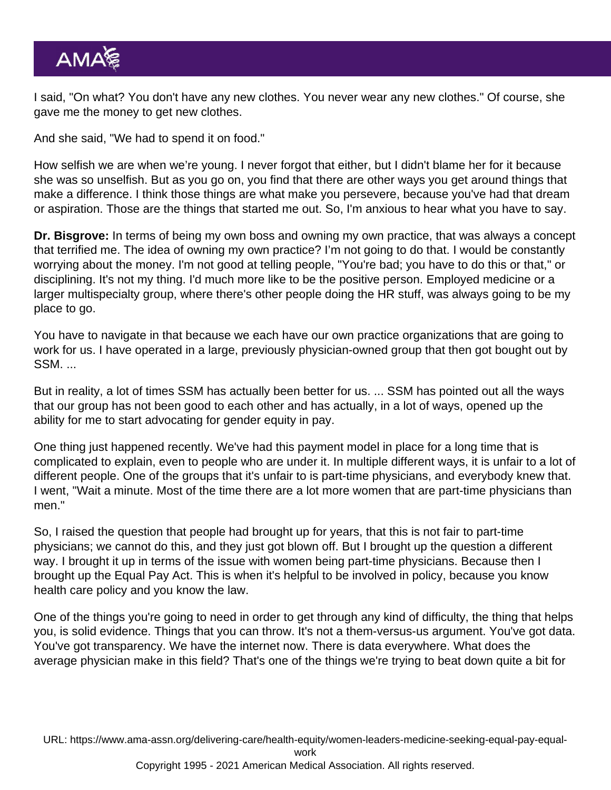I said, "On what? You don't have any new clothes. You never wear any new clothes." Of course, she gave me the money to get new clothes.

And she said, "We had to spend it on food."

How selfish we are when we're young. I never forgot that either, but I didn't blame her for it because she was so unselfish. But as you go on, you find that there are other ways you get around things that make a difference. I think those things are what make you persevere, because you've had that dream or aspiration. Those are the things that started me out. So, I'm anxious to hear what you have to say.

Dr. Bisgrove: In terms of being my own boss and owning my own practice, that was always a concept that terrified me. The idea of owning my own practice? I'm not going to do that. I would be constantly worrying about the money. I'm not good at telling people, "You're bad; you have to do this or that," or disciplining. It's not my thing. I'd much more like to be the positive person. Employed medicine or a larger multispecialty group, where there's other people doing the HR stuff, was always going to be my place to go.

You have to navigate in that because we each have our own practice organizations that are going to work for us. I have operated in a large, previously physician-owned group that then got bought out by SSM. ...

But in reality, a lot of times SSM has actually been better for us. ... SSM has pointed out all the ways that our group has not been good to each other and has actually, in a lot of ways, opened up the ability for me to start advocating for gender equity in pay.

One thing just happened recently. We've had this payment model in place for a long time that is complicated to explain, even to people who are under it. In multiple different ways, it is unfair to a lot of different people. One of the groups that it's unfair to is part-time physicians, and everybody knew that. I went, "Wait a minute. Most of the time there are a lot more women that are part-time physicians than men."

So, I raised the question that people had brought up for years, that this is not fair to part-time physicians; we cannot do this, and they just got blown off. But I brought up the question a different way. I brought it up in terms of the issue with women being part-time physicians. Because then I brought up the Equal Pay Act. This is when it's helpful to be involved in policy, because you know health care policy and you know the law.

One of the things you're going to need in order to get through any kind of difficulty, the thing that helps you, is solid evidence. Things that you can throw. It's not a them-versus-us argument. You've got data. You've got transparency. We have the internet now. There is data everywhere. What does the average physician make in this field? That's one of the things we're trying to beat down quite a bit for

URL: [https://www.ama-assn.org/delivering-care/health-equity/women-leaders-medicine-seeking-equal-pay-equal-](https://www.ama-assn.org/delivering-care/health-equity/women-leaders-medicine-seeking-equal-pay-equal-work)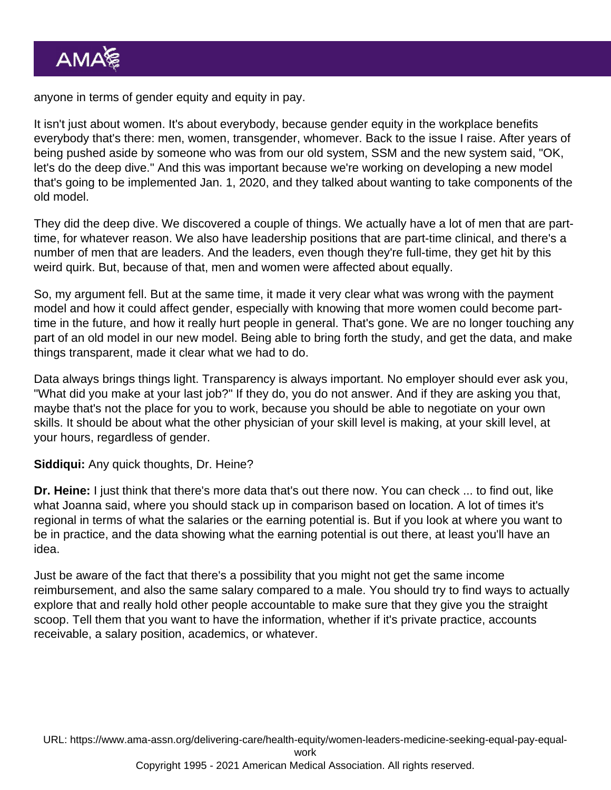anyone in terms of gender equity and equity in pay.

It isn't just about women. It's about everybody, because gender equity in the workplace benefits everybody that's there: men, women, transgender, whomever. Back to the issue I raise. After years of being pushed aside by someone who was from our old system, SSM and the new system said, "OK, let's do the deep dive." And this was important because we're working on developing a new model that's going to be implemented Jan. 1, 2020, and they talked about wanting to take components of the old model.

They did the deep dive. We discovered a couple of things. We actually have a lot of men that are parttime, for whatever reason. We also have leadership positions that are part-time clinical, and there's a number of men that are leaders. And the leaders, even though they're full-time, they get hit by this weird quirk. But, because of that, men and women were affected about equally.

So, my argument fell. But at the same time, it made it very clear what was wrong with the payment model and how it could affect gender, especially with knowing that more women could become parttime in the future, and how it really hurt people in general. That's gone. We are no longer touching any part of an old model in our new model. Being able to bring forth the study, and get the data, and make things transparent, made it clear what we had to do.

Data always brings things light. Transparency is always important. No employer should ever ask you, "What did you make at your last job?" If they do, you do not answer. And if they are asking you that, maybe that's not the place for you to work, because you should be able to negotiate on your own skills. It should be about what the other physician of your skill level is making, at your skill level, at your hours, regardless of gender.

Siddiqui: Any quick thoughts, Dr. Heine?

Dr. Heine: I just think that there's more data that's out there now. You can check ... to find out, like what Joanna said, where you should stack up in comparison based on location. A lot of times it's regional in terms of what the salaries or the earning potential is. But if you look at where you want to be in practice, and the data showing what the earning potential is out there, at least you'll have an idea.

Just be aware of the fact that there's a possibility that you might not get the same income reimbursement, and also the same salary compared to a male. You should try to find ways to actually explore that and really hold other people accountable to make sure that they give you the straight scoop. Tell them that you want to have the information, whether if it's private practice, accounts receivable, a salary position, academics, or whatever.

URL: [https://www.ama-assn.org/delivering-care/health-equity/women-leaders-medicine-seeking-equal-pay-equal-](https://www.ama-assn.org/delivering-care/health-equity/women-leaders-medicine-seeking-equal-pay-equal-work)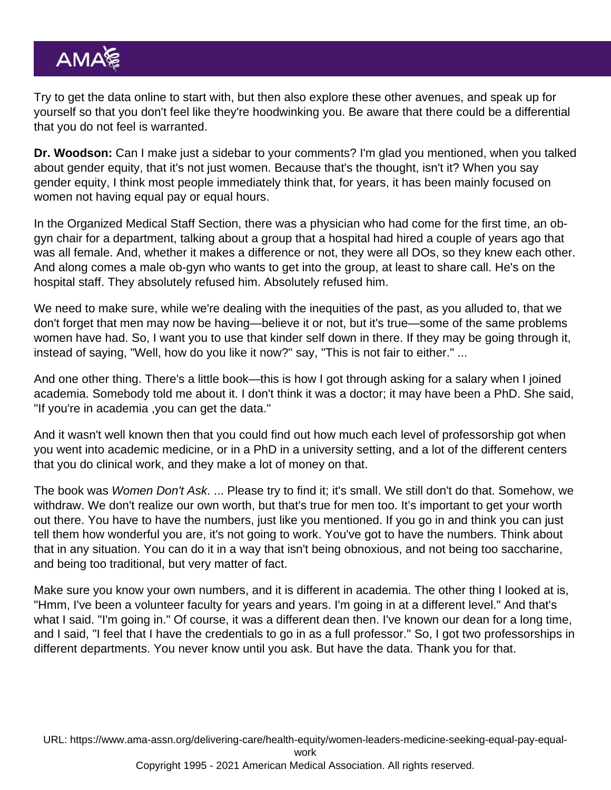Try to get the data online to start with, but then also explore these other avenues, and speak up for yourself so that you don't feel like they're hoodwinking you. Be aware that there could be a differential that you do not feel is warranted.

Dr. Woodson: Can I make just a sidebar to your comments? I'm glad you mentioned, when you talked about gender equity, that it's not just women. Because that's the thought, isn't it? When you say gender equity, I think most people immediately think that, for years, it has been mainly focused on women not having equal pay or equal hours.

In the Organized Medical Staff Section, there was a physician who had come for the first time, an obgyn chair for a department, talking about a group that a hospital had hired a couple of years ago that was all female. And, whether it makes a difference or not, they were all DOs, so they knew each other. And along comes a male ob-gyn who wants to get into the group, at least to share call. He's on the hospital staff. They absolutely refused him. Absolutely refused him.

We need to make sure, while we're dealing with the inequities of the past, as you alluded to, that we don't forget that men may now be having—believe it or not, but it's true—some of the same problems women have had. So, I want you to use that kinder self down in there. If they may be going through it, instead of saying, "Well, how do you like it now?" say, "This is not fair to either." ...

And one other thing. There's a little book—this is how I got through asking for a salary when I joined academia. Somebody told me about it. I don't think it was a doctor; it may have been a PhD. She said, "If you're in academia ,you can get the data."

And it wasn't well known then that you could find out how much each level of professorship got when you went into academic medicine, or in a PhD in a university setting, and a lot of the different centers that you do clinical work, and they make a lot of money on that.

The book was Women Don't Ask. ... Please try to find it; it's small. We still don't do that. Somehow, we withdraw. We don't realize our own worth, but that's true for men too. It's important to get your worth out there. You have to have the numbers, just like you mentioned. If you go in and think you can just tell them how wonderful you are, it's not going to work. You've got to have the numbers. Think about that in any situation. You can do it in a way that isn't being obnoxious, and not being too saccharine, and being too traditional, but very matter of fact.

Make sure you know your own numbers, and it is different in academia. The other thing I looked at is, "Hmm, I've been a volunteer faculty for years and years. I'm going in at a different level." And that's what I said. "I'm going in." Of course, it was a different dean then. I've known our dean for a long time, and I said, "I feel that I have the credentials to go in as a full professor." So, I got two professorships in different departments. You never know until you ask. But have the data. Thank you for that.

URL: [https://www.ama-assn.org/delivering-care/health-equity/women-leaders-medicine-seeking-equal-pay-equal-](https://www.ama-assn.org/delivering-care/health-equity/women-leaders-medicine-seeking-equal-pay-equal-work)